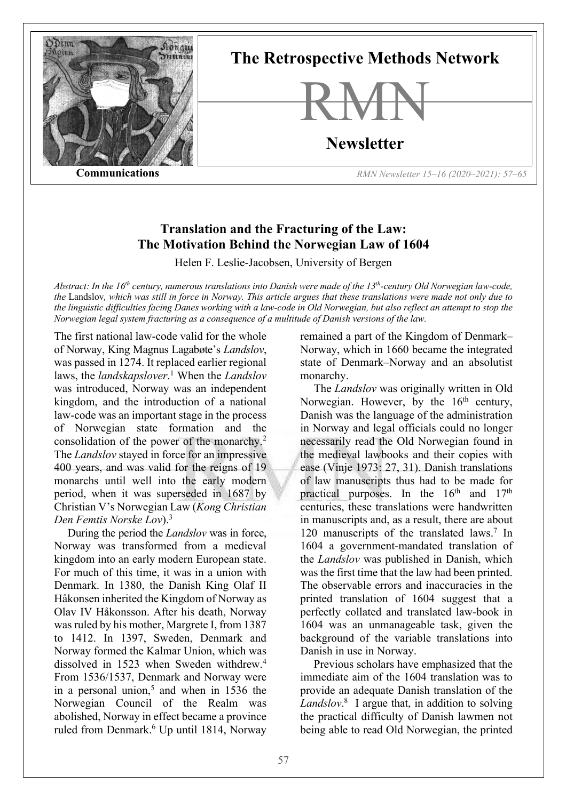

# **The Retrospective Methods Network**



# **Newsletter**

**Communications** *RMN Newsletter 15–16 (2020–2021): 57–65*

# **Translation and the Fracturing of the Law: The Motivation Behind the Norwegian Law of 1604**

Helen F. Leslie-Jacobsen, University of Bergen

*Abstract: In the 16th century, numerous translations into Danish were made of the 13th-century Old Norwegian law-code, the* Landslov*, which was still in force in Norway. This article argues that these translations were made not only due to the linguistic difficulties facing Danes working with a law-code in Old Norwegian, but also reflect an attempt to stop the Norwegian legal system fracturing as a consequence of a multitude of Danish versions of the law.*

The first national law-code valid for the whole of Norway, King Magnus Lagabøte's *Landslov*, was passed in 1274. It replaced earlier regional laws, the *landskapslover*. <sup>1</sup> When the *Landslov* was introduced, Norway was an independent kingdom, and the introduction of a national law-code was an important stage in the process of Norwegian state formation and the consolidation of the power of the monarchy.2 The *Landslov* stayed in force for an impressive 400 years, and was valid for the reigns of 19 monarchs until well into the early modern period, when it was superseded in 1687 by Christian V's Norwegian Law (*Kong Christian Den Femtis Norske Lov*). 3

During the period the *Landslov* was in force, Norway was transformed from a medieval kingdom into an early modern European state. For much of this time, it was in a union with Denmark. In 1380, the Danish King Olaf II Håkonsen inherited the Kingdom of Norway as Olav IV Håkonsson. After his death, Norway was ruled by his mother, Margrete I, from 1387 to 1412. In 1397, Sweden, Denmark and Norway formed the Kalmar Union, which was dissolved in 1523 when Sweden withdrew.4 From 1536/1537, Denmark and Norway were in a personal union,<sup>5</sup> and when in 1536 the Norwegian Council of the Realm was abolished, Norway in effect became a province ruled from Denmark.<sup>6</sup> Up until 1814, Norway

remained a part of the Kingdom of Denmark– Norway, which in 1660 became the integrated state of Denmark–Norway and an absolutist monarchy.

The *Landslov* was originally written in Old Norwegian. However, by the  $16<sup>th</sup>$  century, Danish was the language of the administration in Norway and legal officials could no longer necessarily read the Old Norwegian found in the medieval lawbooks and their copies with ease (Vinje 1973: 27, 31). Danish translations of law manuscripts thus had to be made for practical purposes. In the  $16<sup>th</sup>$  and  $17<sup>th</sup>$ centuries, these translations were handwritten in manuscripts and, as a result, there are about 120 manuscripts of the translated laws.<sup>7</sup> In 1604 a government-mandated translation of the *Landslov* was published in Danish, which was the first time that the law had been printed. The observable errors and inaccuracies in the printed translation of 1604 suggest that a perfectly collated and translated law-book in 1604 was an unmanageable task, given the background of the variable translations into Danish in use in Norway.

Previous scholars have emphasized that the immediate aim of the 1604 translation was to provide an adequate Danish translation of the *Landslov*. <sup>8</sup> I argue that, in addition to solving the practical difficulty of Danish lawmen not being able to read Old Norwegian, the printed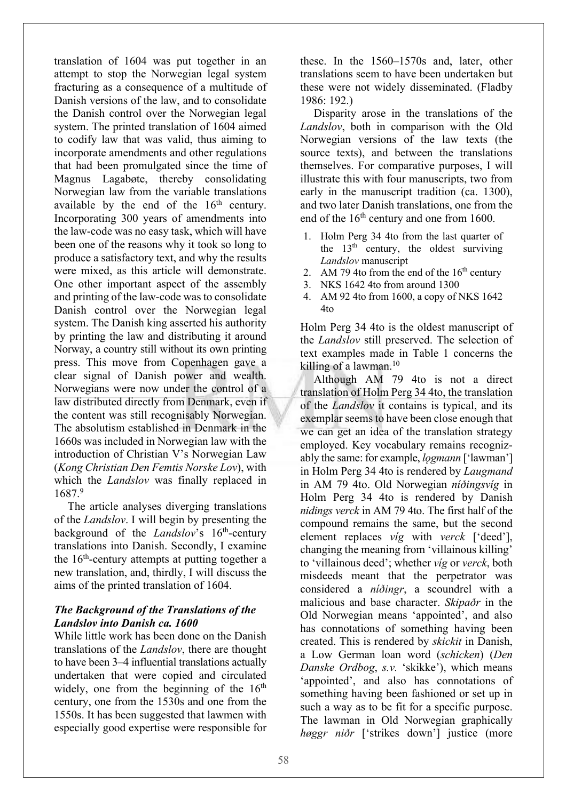translation of 1604 was put together in an attempt to stop the Norwegian legal system fracturing as a consequence of a multitude of Danish versions of the law, and to consolidate the Danish control over the Norwegian legal system. The printed translation of 1604 aimed to codify law that was valid, thus aiming to incorporate amendments and other regulations that had been promulgated since the time of Magnus Lagabøte, thereby consolidating Norwegian law from the variable translations available by the end of the  $16<sup>th</sup>$  century. Incorporating 300 years of amendments into the law-code was no easy task, which will have been one of the reasons why it took so long to produce a satisfactory text, and why the results were mixed, as this article will demonstrate. One other important aspect of the assembly and printing of the law-code was to consolidate Danish control over the Norwegian legal system. The Danish king asserted his authority by printing the law and distributing it around Norway, a country still without its own printing press. This move from Copenhagen gave a clear signal of Danish power and wealth. Norwegians were now under the control of a law distributed directly from Denmark, even if the content was still recognisably Norwegian. The absolutism established in Denmark in the 1660s was included in Norwegian law with the introduction of Christian V's Norwegian Law (*Kong Christian Den Femtis Norske Lov*), with which the *Landslov* was finally replaced in 1687.9

The article analyses diverging translations of the *Landslov*. I will begin by presenting the background of the *Landslov*'s 16<sup>th</sup>-century translations into Danish. Secondly, I examine the  $16<sup>th</sup>$ -century attempts at putting together a new translation, and, thirdly, I will discuss the aims of the printed translation of 1604.

# *The Background of the Translations of the Landslov into Danish ca. 1600*

While little work has been done on the Danish translations of the *Landslov*, there are thought to have been 3–4 influential translations actually undertaken that were copied and circulated widely, one from the beginning of the  $16<sup>th</sup>$ century, one from the 1530s and one from the 1550s. It has been suggested that lawmen with especially good expertise were responsible for

these. In the 1560–1570s and, later, other translations seem to have been undertaken but these were not widely disseminated. (Fladby 1986: 192.)

Disparity arose in the translations of the *Landslov*, both in comparison with the Old Norwegian versions of the law texts (the source texts), and between the translations themselves. For comparative purposes, I will illustrate this with four manuscripts, two from early in the manuscript tradition (ca. 1300), and two later Danish translations, one from the end of the 16<sup>th</sup> century and one from 1600.

- 1. Holm Perg 34 4to from the last quarter of the  $13<sup>th</sup>$  century, the oldest surviving *Landslov* manuscript
- 2. AM 79 4to from the end of the  $16<sup>th</sup>$  century
- 3. NKS 1642 4to from around 1300
- 4. AM 92 4to from 1600, a copy of NKS 1642 4to

Holm Perg 34 4to is the oldest manuscript of the *Landslov* still preserved. The selection of text examples made in Table 1 concerns the killing of a lawman.<sup>10</sup>

Although AM 79 4to is not a direct translation of Holm Perg 34 4to, the translation of the *Landslov* it contains is typical, and its exemplar seems to have been close enough that we can get an idea of the translation strategy employed. Key vocabulary remains recognizably the same: for example, *logmann* ['lawman'] in Holm Perg 34 4to is rendered by *Laugmand* in AM 79 4to. Old Norwegian *níðingsvíg* in Holm Perg 34 4to is rendered by Danish *nidings verck* in AM 79 4to. The first half of the compound remains the same, but the second element replaces *víg* with *verck* ['deed'], changing the meaning from 'villainous killing' to 'villainous deed'; whether *víg* or *verck*, both misdeeds meant that the perpetrator was considered a *níðingr*, a scoundrel with a malicious and base character. *Skipaðr* in the Old Norwegian means 'appointed', and also has connotations of something having been created. This is rendered by *skickit* in Danish, a Low German loan word (*schicken*) (*Den Danske Ordbog*, *s.v.* 'skikke'), which means 'appointed', and also has connotations of something having been fashioned or set up in such a way as to be fit for a specific purpose. The lawman in Old Norwegian graphically *høggr niðr* ['strikes down'] justice (more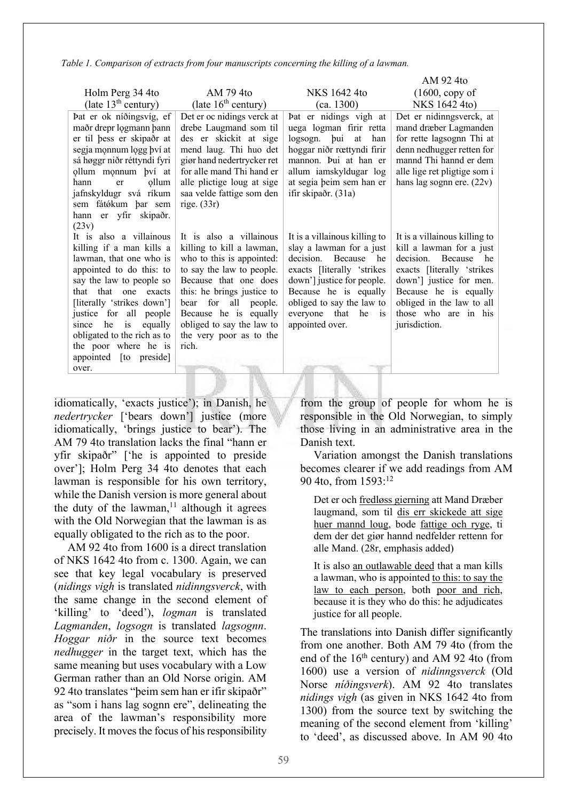*Table 1. Comparison of extracts from four manuscripts concerning the killing of a lawman.*

|                                   |                            |                                       | AM 92 4to                     |
|-----------------------------------|----------------------------|---------------------------------------|-------------------------------|
| Holm Perg 34 4to                  | AM 79 4to                  | NKS 1642 4to                          | $(1600, \text{copy of})$      |
| (late $13^{\text{th}}$ century)   | (late $16^{th}$ century)   | (ca. 1300)                            | NKS 1642 4to)                 |
| Þat er ok níðingsvíg, ef          | Det er oc nidings verck at | Þat er nidings vigh at                | Det er nidinngsverck, at      |
| maðr drepr logmann þann           | drebe Laugmand som til     | uega logman firir retta               | mand dræber Lagmanden         |
| er til þess er skipaðr at         | des er skickit at sige     | logsogn. bui<br>at<br>han             | for rette lagsognn Thi at     |
| segja monnum logg bví at          | mend laug. Thi huo det     | hoggar niðr rœttyndi firir            | denn nedhugger retten for     |
| sá høggr niðr réttyndi fyri       | giør hand nedertrycker ret | mannon. Þui at han er                 | mannd Thi hannd er dem        |
| ollum monnum bví at               | for alle mand Thi hand er  | allum iamskyldugar log                | alle lige ret pligtige som i  |
| ollum<br>hann<br>er               | alle plictige loug at sige | at segia beim sem han er              | hans lag sognn ere. $(22v)$   |
| jafnskyldugr svá ríkum            | saa velde fattige som den  | ifir skipaðr. (31a)                   |                               |
| sem fátókum þar sem               | rige. $(33r)$              |                                       |                               |
| er yfir skipaðr.<br>hann<br>(23v) |                            |                                       |                               |
| It is also a villainous           | It is also a villainous    | It is a villainous killing to         | It is a villainous killing to |
| killing if a man kills a          | killing to kill a lawman,  | slay a lawman for a just              | kill a lawman for a just      |
| lawman, that one who is           | who to this is appointed:  | decision.<br>Because<br>he            | decision.<br>Because<br>he    |
| appointed to do this: to          | to say the law to people.  | exacts [literally 'strikes]           | exacts [literally 'strikes]   |
| say the law to people so          | Because that one does      | down'] justice for people.            | down'] justice for men.       |
| that that one exacts              | this: he brings justice to | Because he is equally                 | Because he is equally         |
| [literally 'strikes down']        | for all people.<br>bear    | obliged to say the law to             | obliged in the law to all     |
| justice for all people            | Because he is equally      | everyone that<br>he<br>$\overline{1}$ | those who are in his          |
| he<br>equally<br>is<br>since      | obliged to say the law to  | appointed over.                       | jurisdiction.                 |
| obligated to the rich as to       | the very poor as to the    |                                       |                               |
| the poor where he is              | rich.                      |                                       |                               |
| appointed [to preside]            |                            |                                       |                               |
| over.                             |                            |                                       |                               |

idiomatically, 'exacts justice'); in Danish, he *nedertrycker* ['bears down'] justice (more idiomatically, 'brings justice to bear'). The AM 79 4to translation lacks the final "hann er yfir skipaðr" ['he is appointed to preside over']; Holm Perg 34 4to denotes that each lawman is responsible for his own territory, while the Danish version is more general about the duty of the lawman, $<sup>11</sup>$  although it agrees</sup> with the Old Norwegian that the lawman is as equally obligated to the rich as to the poor.

AM 92 4to from 1600 is a direct translation of NKS 1642 4to from c. 1300. Again, we can see that key legal vocabulary is preserved (*nidings vigh* is translated *nidinngsverck*, with the same change in the second element of 'killing' to 'deed'), *logman* is translated *Lagmanden*, *logsogn* is translated *lagsognn*. *Hoggar niðr* in the source text becomes *nedhugger* in the target text, which has the same meaning but uses vocabulary with a Low German rather than an Old Norse origin. AM 92 4to translates "þeim sem han er ifir skipaðr" as "som i hans lag sognn ere", delineating the area of the lawman's responsibility more precisely. It moves the focus of his responsibility from the group of people for whom he is responsible in the Old Norwegian, to simply those living in an administrative area in the Danish text.

Variation amongst the Danish translations becomes clearer if we add readings from AM 90 4to, from 1593:12

Det er och fredløss gierning att Mand Dræber laugmand, som til dis err skickede att sige huer mannd loug, bode fattige och ryge, ti dem der det giør hannd nedfelder rettenn for alle Mand. (28r, emphasis added)

It is also an outlawable deed that a man kills a lawman, who is appointed to this: to say the law to each person, both poor and rich, because it is they who do this: he adjudicates justice for all people.

The translations into Danish differ significantly from one another. Both AM 79 4to (from the end of the  $16<sup>th</sup>$  century) and AM 92 4to (from 1600) use a version of *nidinngsverck* (Old Norse *níðingsverk*). AM 92 4to translates *nidings vigh* (as given in NKS 1642 4to from 1300) from the source text by switching the meaning of the second element from 'killing' to 'deed', as discussed above. In AM 90 4to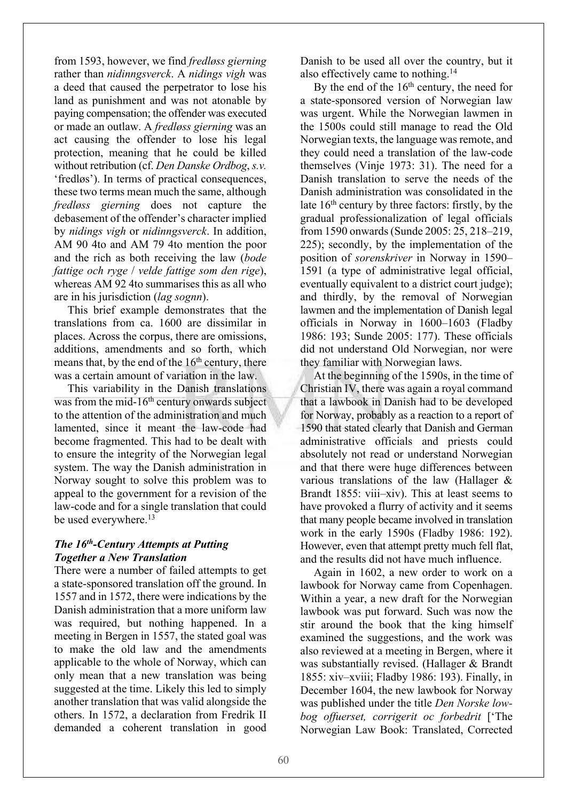from 1593, however, we find *fredløss gierning* rather than *nidinngsverck*. A *nidings vigh* was a deed that caused the perpetrator to lose his land as punishment and was not atonable by paying compensation; the offender was executed or made an outlaw. A *fredløss gierning* was an act causing the offender to lose his legal protection, meaning that he could be killed without retribution (cf. *Den Danske Ordbog*, *s.v.* 'fredløs'). In terms of practical consequences, these two terms mean much the same, although *fredløss gierning* does not capture the debasement of the offender's character implied by *nidings vigh* or *nidinngsverck*. In addition, AM 90 4to and AM 79 4to mention the poor and the rich as both receiving the law (*bode fattige och ryge* / *velde fattige som den rige*), whereas AM 92 4to summarises this as all who are in his jurisdiction (*lag sognn*).

This brief example demonstrates that the translations from ca. 1600 are dissimilar in places. Across the corpus, there are omissions, additions, amendments and so forth, which means that, by the end of the  $16<sup>th</sup>$  century, there was a certain amount of variation in the law.

This variability in the Danish translations was from the mid-16<sup>th</sup> century onwards subject to the attention of the administration and much lamented, since it meant the law-code had become fragmented. This had to be dealt with to ensure the integrity of the Norwegian legal system. The way the Danish administration in Norway sought to solve this problem was to appeal to the government for a revision of the law-code and for a single translation that could be used everywhere.<sup>13</sup>

#### *The 16th-Century Attempts at Putting Together a New Translation*

There were a number of failed attempts to get a state-sponsored translation off the ground. In 1557 and in 1572, there were indications by the Danish administration that a more uniform law was required, but nothing happened. In a meeting in Bergen in 1557, the stated goal was to make the old law and the amendments applicable to the whole of Norway, which can only mean that a new translation was being suggested at the time. Likely this led to simply another translation that was valid alongside the others. In 1572, a declaration from Fredrik II demanded a coherent translation in good Danish to be used all over the country, but it also effectively came to nothing.14

By the end of the  $16<sup>th</sup>$  century, the need for a state-sponsored version of Norwegian law was urgent. While the Norwegian lawmen in the 1500s could still manage to read the Old Norwegian texts, the language was remote, and they could need a translation of the law-code themselves (Vinje 1973: 31). The need for a Danish translation to serve the needs of the Danish administration was consolidated in the late  $16<sup>th</sup>$  century by three factors: firstly, by the gradual professionalization of legal officials from 1590 onwards (Sunde 2005: 25, 218–219, 225); secondly, by the implementation of the position of *sorenskriver* in Norway in 1590– 1591 (a type of administrative legal official, eventually equivalent to a district court judge); and thirdly, by the removal of Norwegian lawmen and the implementation of Danish legal officials in Norway in 1600–1603 (Fladby 1986: 193; Sunde 2005: 177). These officials did not understand Old Norwegian, nor were they familiar with Norwegian laws.

At the beginning of the 1590s, in the time of Christian IV, there was again a royal command that a lawbook in Danish had to be developed for Norway, probably as a reaction to a report of 1590 that stated clearly that Danish and German administrative officials and priests could absolutely not read or understand Norwegian and that there were huge differences between various translations of the law (Hallager & Brandt 1855: viii–xiv). This at least seems to have provoked a flurry of activity and it seems that many people became involved in translation work in the early 1590s (Fladby 1986: 192). However, even that attempt pretty much fell flat, and the results did not have much influence.

Again in 1602, a new order to work on a lawbook for Norway came from Copenhagen. Within a year, a new draft for the Norwegian lawbook was put forward. Such was now the stir around the book that the king himself examined the suggestions, and the work was also reviewed at a meeting in Bergen, where it was substantially revised. (Hallager & Brandt 1855: xiv–xviii; Fladby 1986: 193). Finally, in December 1604, the new lawbook for Norway was published under the title *Den Norske lowbog offuerset, corrigerit oc forbedrit* ['The Norwegian Law Book: Translated, Corrected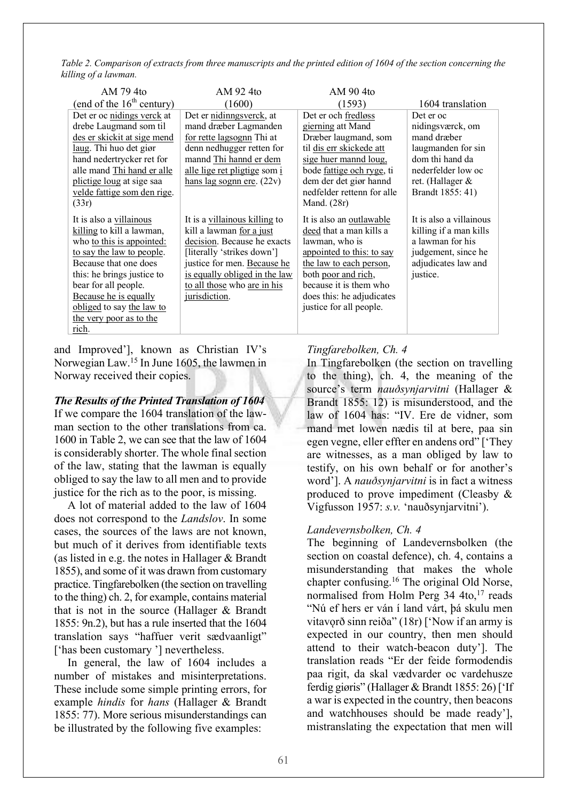*Table 2. Comparison of extracts from three manuscripts and the printed edition of 1604 of the section concerning the killing of a lawman.*

| AM 794to                                                                                                                                                                                                                                                                                         | AM 92 4to                                                                                                                                                                                                                              | AM 90 4to                                                                                                                                                                                                                                             |                                                                                                                                                     |
|--------------------------------------------------------------------------------------------------------------------------------------------------------------------------------------------------------------------------------------------------------------------------------------------------|----------------------------------------------------------------------------------------------------------------------------------------------------------------------------------------------------------------------------------------|-------------------------------------------------------------------------------------------------------------------------------------------------------------------------------------------------------------------------------------------------------|-----------------------------------------------------------------------------------------------------------------------------------------------------|
| (end of the $16th$ century)                                                                                                                                                                                                                                                                      | (1600)                                                                                                                                                                                                                                 | (1593)                                                                                                                                                                                                                                                | 1604 translation                                                                                                                                    |
| Det er oc nidings verck at<br>drebe Laugmand som til<br>des er skickit at sige mend<br>laug. Thi huo det giør<br>hand nedertrycker ret for<br>alle mand Thi hand er alle<br>plictige loug at sige saa<br>velde fattige som den rige.                                                             | Det er nidinngsverck, at<br>mand dræber Lagmanden<br>for rette lagsognn Thi at<br>denn nedhugger retten for<br>mannd Thi hannd er dem<br>alle lige ret pligtige som i<br>hans lag sognn ere. $(22v)$                                   | Det er och fredløss<br>gierning att Mand<br>Dræber laugmand, som<br>til dis err skickede att<br>sige huer mannd loug,<br>bode fattige och ryge, ti<br>dem der det giør hannd<br>nedfelder rettenn for alle                                            | Det er oc<br>nidingsværck, om<br>mand dræber<br>laugmanden for sin<br>dom thi hand da<br>nederfelder low oc<br>ret. (Hallager &<br>Brandt 1855: 41) |
| (33r)<br>It is also a villainous<br>killing to kill a lawman,<br>who to this is appointed:<br>to say the law to people.<br>Because that one does<br>this: he brings justice to<br>bear for all people.<br>Because he is equally<br>obliged to say the law to<br>the very poor as to the<br>rich. | It is a villainous killing to<br>kill a lawman for a just<br>decision. Because he exacts<br>[literally 'strikes down']<br>justice for men. Because he<br>is equally obliged in the law<br>to all those who are in his<br>jurisdiction. | Mand. (28r)<br>It is also an outlawable<br>deed that a man kills a<br>lawman, who is<br>appointed to this: to say<br>the law to each person,<br>both poor and rich,<br>because it is them who<br>does this: he adjudicates<br>justice for all people. | It is also a villainous<br>killing if a man kills<br>a lawman for his<br>judgement, since he<br>adjudicates law and<br>justice.                     |

and Improved'], known as Christian IV's Norwegian Law.15 In June 1605, the lawmen in Norway received their copies.

### *The Results of the Printed Translation of 1604* If we compare the 1604 translation of the lawman section to the other translations from ca. 1600 in Table 2, we can see that the law of 1604 is considerably shorter. The whole final section of the law, stating that the lawman is equally obliged to say the law to all men and to provide justice for the rich as to the poor, is missing.

A lot of material added to the law of 1604 does not correspond to the *Landslov*. In some cases, the sources of the laws are not known, but much of it derives from identifiable texts (as listed in e.g. the notes in Hallager & Brandt 1855), and some of it was drawn from customary practice. Tingfarebolken (the section on travelling to the thing) ch. 2, for example, contains material that is not in the source (Hallager & Brandt 1855: 9n.2), but has a rule inserted that the 1604 translation says "haffuer verit sædvaanligt" ['has been customary '] nevertheless.

In general, the law of 1604 includes a number of mistakes and misinterpretations. These include some simple printing errors, for example *hindis* for *hans* (Hallager & Brandt 1855: 77). More serious misunderstandings can be illustrated by the following five examples:

# *Tingfarebolken, Ch. 4*

In Tingfarebolken (the section on travelling to the thing), ch. 4, the meaning of the source's term *nauðsynjarvitni* (Hallager & Brandt 1855: 12) is misunderstood, and the law of 1604 has: "IV. Ere de vidner, som mand met lowen nædis til at bere, paa sin egen vegne, eller effter en andens ord" ['They are witnesses, as a man obliged by law to testify, on his own behalf or for another's word']. A *nauðsynjarvitni* is in fact a witness produced to prove impediment (Cleasby & Vigfusson 1957: *s.v.* 'nauðsynjarvitni').

# *Landevernsbolken, Ch. 4*

The beginning of Landevernsbolken (the section on coastal defence), ch. 4, contains a misunderstanding that makes the whole chapter confusing.16 The original Old Norse, normalised from Holm Perg 34 4to, <sup>17</sup> reads "Nú ef hers er ván í land várt, þá skulu men vitavorð sinn reiða" (18r) ['Now if an army is expected in our country, then men should attend to their watch-beacon duty']. The translation reads "Er der feide formodendis paa rigit, da skal vædvarder oc vardehusze ferdig giøris" (Hallager & Brandt 1855: 26) ['If a war is expected in the country, then beacons and watchhouses should be made ready'], mistranslating the expectation that men will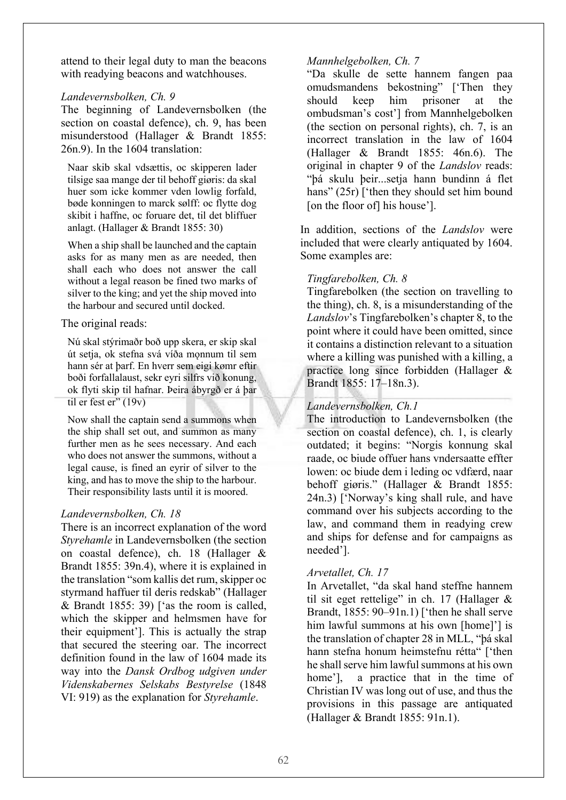attend to their legal duty to man the beacons with readying beacons and watchhouses.

#### *Landevernsbolken, Ch. 9*

The beginning of Landevernsbolken (the section on coastal defence), ch. 9, has been misunderstood (Hallager & Brandt 1855: 26n.9). In the 1604 translation:

Naar skib skal vdsættis, oc skipperen lader tilsige saa mange der til behoff giøris: da skal huer som icke kommer vden lowlig forfald, bøde konningen to marck sølff: oc flytte dog skibit i haffne, oc foruare det, til det bliffuer anlagt. (Hallager & Brandt 1855: 30)

When a ship shall be launched and the captain asks for as many men as are needed, then shall each who does not answer the call without a legal reason be fined two marks of silver to the king; and yet the ship moved into the harbour and secured until docked.

### The original reads:

Nú skal stýrimaðr boð upp skera, er skip skal út setja, ok stefna svá víða mǫnnum til sem hann sér at þarf. En hverr sem eigi kømr eftir boði forfallalaust, sekr eyri silfrs við konung, ok flyti skip til hafnar. Þeira ábyrgð er á þar til er fest er" (19v)

Now shall the captain send a summons when the ship shall set out, and summon as many further men as he sees necessary. And each who does not answer the summons, without a legal cause, is fined an eyrir of silver to the king, and has to move the ship to the harbour. Their responsibility lasts until it is moored.

# *Landevernsbolken, Ch. 18*

There is an incorrect explanation of the word *Styrehamle* in Landevernsbolken (the section on coastal defence), ch. 18 (Hallager & Brandt 1855: 39n.4), where it is explained in the translation "som kallis det rum, skipper oc styrmand haffuer til deris redskab" (Hallager & Brandt 1855: 39) ['as the room is called, which the skipper and helmsmen have for their equipment']. This is actually the strap that secured the steering oar. The incorrect definition found in the law of 1604 made its way into the *Dansk Ordbog udgiven under Videnskabernes Selskabs Bestyrelse* (1848 VI: 919) as the explanation for *Styrehamle*.

### *Mannhelgebolken, Ch. 7*

"Da skulle de sette hannem fangen paa omudsmandens bekostning" ['Then they should keep him prisoner at the ombudsman's cost'] from Mannhelgebolken (the section on personal rights), ch. 7, is an incorrect translation in the law of 1604 (Hallager & Brandt 1855: 46n.6). The original in chapter 9 of the *Landslov* reads: "þá skulu þeir...setja hann bundinn á flet hans" (25r) ['then they should set him bound [on the floor of] his house'].

In addition, sections of the *Landslov* were included that were clearly antiquated by 1604. Some examples are:

# *Tingfarebolken, Ch. 8*

Tingfarebolken (the section on travelling to the thing), ch. 8, is a misunderstanding of the *Landslov*'s Tingfarebolken's chapter 8, to the point where it could have been omitted, since it contains a distinction relevant to a situation where a killing was punished with a killing, a practice long since forbidden (Hallager & Brandt 1855: 17–18n.3).

# *Landevernsbolken, Ch.1*

The introduction to Landevernsbolken (the section on coastal defence), ch. 1, is clearly outdated; it begins: "Norgis konnung skal raade, oc biude offuer hans vndersaatte effter lowen: oc biude dem i leding oc vdfærd, naar behoff giøris." (Hallager & Brandt 1855: 24n.3) ['Norway's king shall rule, and have command over his subjects according to the law, and command them in readying crew and ships for defense and for campaigns as needed'].

# *Arvetallet, Ch. 17*

In Arvetallet, "da skal hand steffne hannem til sit eget rettelige" in ch. 17 (Hallager  $\&$ Brandt, 1855: 90–91n.1) ['then he shall serve him lawful summons at his own [home]'] is the translation of chapter 28 in MLL, "þá skal hann stefna honum heimstefnu rétta" ['then he shall serve him lawful summons at his own home'], a practice that in the time of Christian IV was long out of use, and thus the provisions in this passage are antiquated (Hallager & Brandt 1855: 91n.1).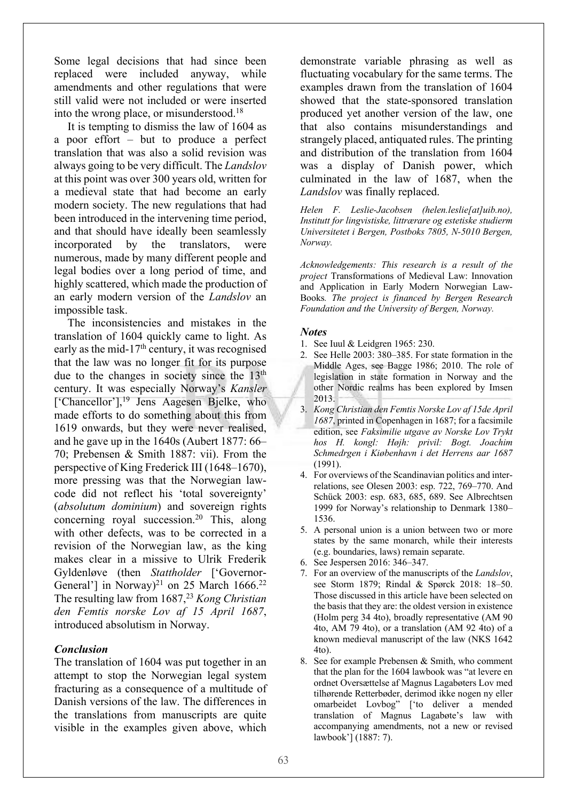Some legal decisions that had since been replaced were included anyway, while amendments and other regulations that were still valid were not included or were inserted into the wrong place, or misunderstood.<sup>18</sup>

It is tempting to dismiss the law of 1604 as a poor effort – but to produce a perfect translation that was also a solid revision was always going to be very difficult. The *Landslov* at this point was over 300 years old, written for a medieval state that had become an early modern society. The new regulations that had been introduced in the intervening time period, and that should have ideally been seamlessly incorporated by the translators, were numerous, made by many different people and legal bodies over a long period of time, and highly scattered, which made the production of an early modern version of the *Landslov* an impossible task.

The inconsistencies and mistakes in the translation of 1604 quickly came to light. As early as the mid-17<sup>th</sup> century, it was recognised that the law was no longer fit for its purpose due to the changes in society since the 13<sup>th</sup> century. It was especially Norway's *Kansler*  ['Chancellor'],<sup>19</sup> Jens Aagesen Bjelke, who made efforts to do something about this from 1619 onwards, but they were never realised, and he gave up in the 1640s (Aubert 1877: 66– 70; Prebensen & Smith 1887: vii). From the perspective of King Frederick III (1648–1670), more pressing was that the Norwegian lawcode did not reflect his 'total sovereignty' (*absolutum dominium*) and sovereign rights concerning royal succession.<sup>20</sup> This, along with other defects, was to be corrected in a revision of the Norwegian law, as the king makes clear in a missive to Ulrik Frederik Gyldenløve (then *Stattholder* ['Governor-General'] in Norway)<sup>21</sup> on 25 March 1666.<sup>22</sup> The resulting law from 1687,<sup>23</sup> *Kong Christian den Femtis norske Lov af 15 April 1687*, introduced absolutism in Norway.

#### *Conclusion*

The translation of 1604 was put together in an attempt to stop the Norwegian legal system fracturing as a consequence of a multitude of Danish versions of the law. The differences in the translations from manuscripts are quite visible in the examples given above, which

demonstrate variable phrasing as well as fluctuating vocabulary for the same terms. The examples drawn from the translation of 1604 showed that the state-sponsored translation produced yet another version of the law, one that also contains misunderstandings and strangely placed, antiquated rules. The printing and distribution of the translation from 1604 was a display of Danish power, which culminated in the law of 1687, when the *Landslov* was finally replaced.

*Helen F. Leslie-Jacobsen (helen.leslie[at]uib.no), Institutt for lingvistiske, littrærare og estetiske studierm Universitetet i Bergen, Postboks 7805, N-5010 Bergen, Norway.*

*Acknowledgements: This research is a result of the project* Transformations of Medieval Law: Innovation and Application in Early Modern Norwegian Law-Books*. The project is financed by Bergen Research Foundation and the University of Bergen, Norway.*

#### *Notes*

- 1. See Iuul & Leidgren 1965: 230.
- 2. See Helle 2003: 380–385. For state formation in the Middle Ages, see Bagge 1986; 2010. The role of legislation in state formation in Norway and the other Nordic realms has been explored by Imsen 2013.
- 3. *Kong Christian den Femtis Norske Lov af 15de April 1687*, printed in Copenhagen in 1687; for a facsimile edition, see *Faksimilie utgave av Norske Lov Trykt hos H. kongl: Højh: privil: Bogt. Joachim Schmedrgen i Kiøbenhavn i det Herrens aar 1687* (1991).
- 4. For overviews of the Scandinavian politics and interrelations, see Olesen 2003: esp. 722, 769–770. And Schück 2003: esp. 683, 685, 689. See Albrechtsen 1999 for Norway's relationship to Denmark 1380– 1536.
- 5. A personal union is a union between two or more states by the same monarch, while their interests (e.g. boundaries, laws) remain separate.
- 6. See Jespersen 2016: 346–347.
- 7. For an overview of the manuscripts of the *Landslov*, see Storm 1879; Rindal & Spørck 2018: 18–50. Those discussed in this article have been selected on the basis that they are: the oldest version in existence (Holm perg 34 4to), broadly representative (AM 90 4to, AM 79 4to), or a translation (AM 92 4to) of a known medieval manuscript of the law (NKS 1642 4to).
- 8. See for example Prebensen & Smith, who comment that the plan for the 1604 lawbook was "at levere en ordnet Oversættelse af Magnus Lagabøters Lov med tilhørende Retterbøder, derimod ikke nogen ny eller omarbeidet Lovbog" ['to deliver a mended translation of Magnus Lagabøte's law with accompanying amendments, not a new or revised lawbook'] (1887: 7).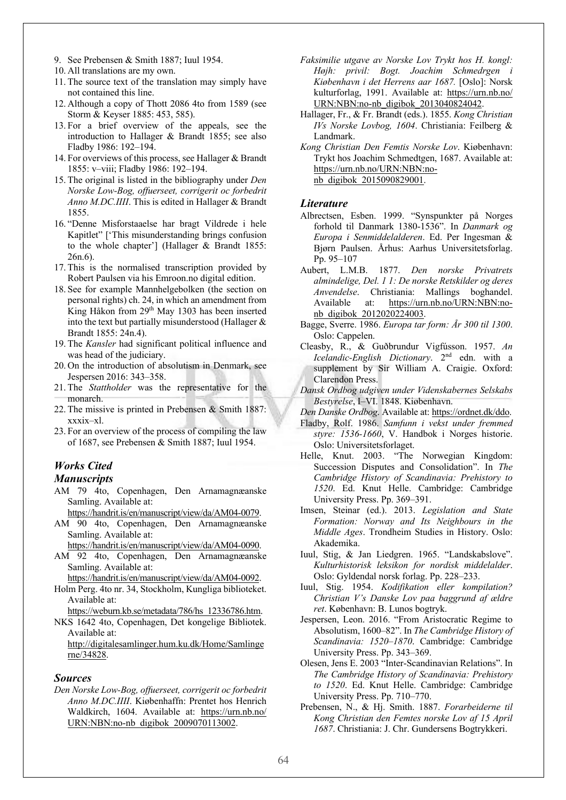- 9. See Prebensen & Smith 1887; Iuul 1954.
- 10. All translations are my own.
- 11. The source text of the translation may simply have not contained this line.
- 12. Although a copy of Thott 2086 4to from 1589 (see Storm & Keyser 1885: 453, 585).
- 13. For a brief overview of the appeals, see the introduction to Hallager & Brandt 1855; see also Fladby 1986: 192–194.
- 14. For overviews of this process, see Hallager & Brandt 1855: v–viii; Fladby 1986: 192–194.
- 15. The original is listed in the bibliography under *Den Norske Low-Bog, offuerseet, corrigerit oc forbedrit Anno M.DC.IIII*. This is edited in Hallager & Brandt 1855.
- 16. "Denne Misforstaaelse har bragt Vildrede i hele Kapitlet" ['This misunderstanding brings confusion to the whole chapter'] (Hallager & Brandt 1855: 26n.6).
- 17. This is the normalised transcription provided by Robert Paulsen via his Emroon.no digital edition.
- 18. See for example Mannhelgebolken (the section on personal rights) ch. 24, in which an amendment from King Håkon from 29th May 1303 has been inserted into the text but partially misunderstood (Hallager & Brandt 1855: 24n.4).
- 19. The *Kansler* had significant political influence and was head of the judiciary.
- 20. On the introduction of absolutism in Denmark, see Jespersen 2016: 343–358.
- 21. The *Stattholder* was the representative for the monarch.
- 22. The missive is printed in Prebensen & Smith 1887: xxxix–xl.
- 23. For an overview of the process of compiling the law of 1687, see Prebensen & Smith 1887; Iuul 1954.

# *Works Cited*

#### *Manuscripts*

- AM 79 4to, Copenhagen, Den Arnamagnæanske Samling. Available at:
	- https://handrit.is/en/manuscript/view/da/AM04-0079.
- AM 90 4to, Copenhagen, Den Arnamagnæanske Samling. Available at:

https://handrit.is/en/manuscript/view/da/AM04-0090.

- AM 92 4to, Copenhagen, Den Arnamagnæanske Samling. Available at:
	- https://handrit.is/en/manuscript/view/da/AM04-0092.
- Holm Perg. 4to nr. 34, Stockholm, Kungliga biblioteket. Available at:

https://weburn.kb.se/metadata/786/hs\_12336786.htm.

NKS 1642 4to, Copenhagen, Det kongelige Bibliotek. Available at:

http://digitalesamlinger.hum.ku.dk/Home/Samlinge rne/34828.

#### *Sources*

*Den Norske Low-Bog, offuerseet, corrigerit oc forbedrit Anno M.DC.IIII*. Kiøbenhaffn: Prentet hos Henrich Waldkirch, 1604. Available at: https://urn.nb.no/ URN:NBN:no-nb\_digibok\_2009070113002.

- *Faksimilie utgave av Norske Lov Trykt hos H. kongl: Højh: privil: Bogt. Joachim Schmedrgen i Kiøbenhavn i det Herrens aar 1687.* [Oslo]: Norsk kulturforlag, 1991. Available at: https://urn.nb.no/ URN:NBN:no-nb\_digibok\_2013040824042.
- Hallager, Fr., & Fr. Brandt (eds.). 1855. *Kong Christian IVs Norske Lovbog, 1604*. Christiania: Feilberg & Landmark.
- *Kong Christian Den Femtis Norske Lov*. Kiøbenhavn: Trykt hos Joachim Schmedtgen, 1687. Available at: https://urn.nb.no/URN:NBN:nonb\_digibok\_2015090829001.

#### *Literature*

- Albrectsen, Esben. 1999. "Synspunkter på Norges forhold til Danmark 1380-1536". In *Danmark og Europa i Senmiddelalderen*. Ed. Per Ingesman & Bjørn Paulsen. Århus: Aarhus Universitetsforlag. Pp. 95–107
- Aubert, L.M.B. 1877. *Den norske Privatrets almindelige, Del. 1 1: De norske Retskilder og deres Anvendelse*. Christiania: Mallings boghandel. Available at: https://urn.nb.no/URN:NBN:nonb\_digibok\_2012020224003.
- Bagge, Sverre. 1986. *Europa tar form: År 300 til 1300*. Oslo: Cappelen.
- Cleasby, R., & Guðbrundur Vigfússon. 1957. *An Icelandic-English Dictionary*. 2nd edn. with a supplement by Sir William A. Craigie. Oxford: Clarendon Press.
- *Dansk Ordbog udgiven under Videnskabernes Selskabs Bestyrelse*, I–VI. 1848. Kiøbenhavn.
- *Den Danske Ordbog*. Available at: https://ordnet.dk/ddo.
- Fladby, Rolf. 1986. *Samfunn i vekst under fremmed styre: 1536-1660*, V. Handbok i Norges historie. Oslo: Universitetsforlaget.
- Helle, Knut. 2003. "The Norwegian Kingdom: Succession Disputes and Consolidation". In *The Cambridge History of Scandinavia: Prehistory to 1520*. Ed. Knut Helle. Cambridge: Cambridge University Press. Pp. 369–391.
- Imsen, Steinar (ed.). 2013. *Legislation and State Formation: Norway and Its Neighbours in the Middle Ages*. Trondheim Studies in History. Oslo: Akademika.
- Iuul, Stig, & Jan Liedgren. 1965. "Landskabslove". *Kulturhistorisk leksikon for nordisk middelalder*. Oslo: Gyldendal norsk forlag. Pp. 228–233.
- Iuul, Stig. 1954. *Kodifikation eller kompilation? Christian V's Danske Lov paa baggrund af ældre ret*. København: B. Lunos bogtryk.
- Jespersen, Leon. 2016. "From Aristocratic Regime to Absolutism, 1600–82". In *The Cambridge History of Scandinavia: 1520–1870*. Cambridge: Cambridge University Press. Pp. 343–369.
- Olesen, Jens E. 2003 "Inter-Scandinavian Relations". In *The Cambridge History of Scandinavia: Prehistory to 1520*. Ed. Knut Helle. Cambridge: Cambridge University Press. Pp. 710–770.
- Prebensen, N., & Hj. Smith. 1887. *Forarbeiderne til Kong Christian den Femtes norske Lov af 15 April 1687*. Christiania: J. Chr. Gundersens Bogtrykkeri.